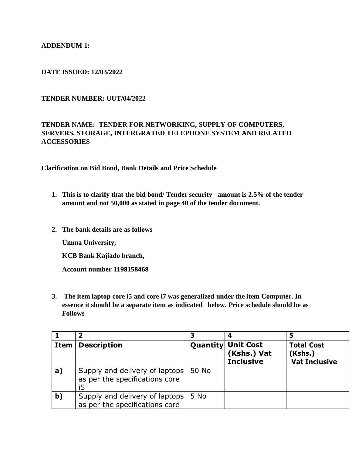### **ADDENDUM 1:**

#### **DATE ISSUED: 12/03/2022**

#### **TENDER NUMBER: UUT/04/2022**

## **TENDER NAME: TENDER FOR NETWORKING, SUPPLY OF COMPUTERS, SERVERS, STORAGE, INTERGRATED TELEPHONE SYSTEM AND RELATED ACCESSORIES**

**Clarification on Bid Bond, Bank Details and Price Schedule**

- **1. This is to clarify that the bid bond/ Tender security amount is 2.5% of the tender amount and not 50,000 as stated in page 40 of the tender document.**
- **2. The bank details are as follows**

**Umma University,**

**KCB Bank Kajiado branch,**

**Account number 1198158468**

**3. The item laptop core i5 and core i7 was generalized under the item Computer. In essence it should be a separate item as indicated below. Price schedule should be as Follows**

|      |                                                                        |       | 4                                                            |                                                      |
|------|------------------------------------------------------------------------|-------|--------------------------------------------------------------|------------------------------------------------------|
| Item | <b>Description</b>                                                     |       | <b>Quantity Unit Cost</b><br>(Kshs.) Vat<br><b>Inclusive</b> | <b>Total Cost</b><br>(Kshs.)<br><b>Vat Inclusive</b> |
| a)   | Supply and delivery of laptops<br>as per the specifications core<br>i5 | 50 No |                                                              |                                                      |
| b)   | Supply and delivery of laptops<br>as per the specifications core       | 5 No  |                                                              |                                                      |